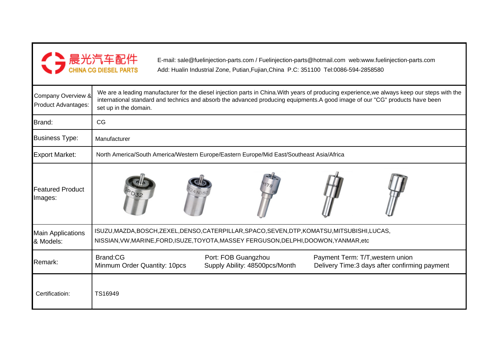| ▶ 晨光汽车配件                     |
|------------------------------|
| <b>CHINA CG DIESEL PARTS</b> |

E-mail: sale@fuelinjection-parts.com / Fuelinjection-parts@hotmail.com web:www.fuelinjection-parts.comAdd: Hualin Industrial Zone, Putian,Fujian,China P.C: 351100 Tel:0086-594-2858580

| Company Overview &<br>Product Advantages: | We are a leading manufacturer for the diesel injection parts in China. With years of producing experience, we always keep our steps with the<br>international standard and technics and absorb the advanced producing equipments.A good image of our "CG" products have been<br>set up in the domain. |  |  |  |  |  |  |  |
|-------------------------------------------|-------------------------------------------------------------------------------------------------------------------------------------------------------------------------------------------------------------------------------------------------------------------------------------------------------|--|--|--|--|--|--|--|
| Brand:                                    | CG                                                                                                                                                                                                                                                                                                    |  |  |  |  |  |  |  |
| <b>Business Type:</b>                     | Manufacturer                                                                                                                                                                                                                                                                                          |  |  |  |  |  |  |  |
| <b>Export Market:</b>                     | North America/South America/Western Europe/Eastern Europe/Mid East/Southeast Asia/Africa                                                                                                                                                                                                              |  |  |  |  |  |  |  |
| <b>Featured Product</b><br>Images:        |                                                                                                                                                                                                                                                                                                       |  |  |  |  |  |  |  |
| <b>Main Applications</b><br>& Models:     | ISUZU, MAZDA, BOSCH, ZEXEL, DENSO, CATERPILLAR, SPACO, SEVEN, DTP, KOMATSU, MITSUBISHI, LUCAS,<br>NISSIAN, VW, MARINE, FORD, ISUZE, TOYOTA, MASSEY FERGUSON, DELPHI, DOOWON, YANMAR, etc                                                                                                              |  |  |  |  |  |  |  |
| Remark:                                   | Brand:CG<br>Port: FOB Guangzhou<br>Payment Term: T/T, western union<br>Supply Ability: 48500pcs/Month<br>Minmum Order Quantity: 10pcs<br>Delivery Time: 3 days after confirming payment                                                                                                               |  |  |  |  |  |  |  |
| Certificatioin:                           | TS16949                                                                                                                                                                                                                                                                                               |  |  |  |  |  |  |  |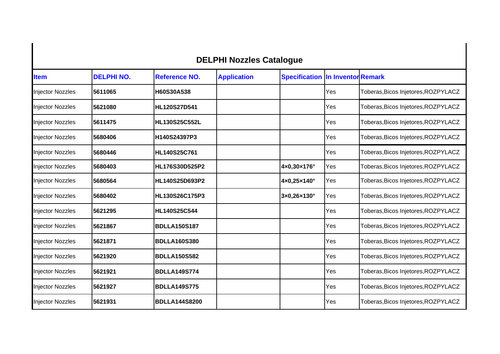## **DELPHI Nozzles Catalogue**

| <b>Item</b>             | <b>DELPHI NO.</b> | <b>Reference NO.</b> | <b>Application</b> | <b>Specification In Inventor Remark</b> |     |                                     |
|-------------------------|-------------------|----------------------|--------------------|-----------------------------------------|-----|-------------------------------------|
| Injector Nozzles        | 5611065           | H60S30A538           |                    |                                         | Yes | Toberas, Bicos Injetores, ROZPYLACZ |
| <b>Injector Nozzles</b> | 5621080           | <b>HL120S27D541</b>  |                    |                                         | Yes | Toberas, Bicos Injetores, ROZPYLACZ |
| <b>Injector Nozzles</b> | 5611475           | HL130S25C552L        |                    |                                         | Yes | Toberas, Bicos Injetores, ROZPYLACZ |
| <b>Injector Nozzles</b> | 5680406           | H140S24397P3         |                    |                                         | Yes | Toberas, Bicos Injetores, ROZPYLACZ |
| <b>Injector Nozzles</b> | 5680446           | <b>HL140S25C761</b>  |                    |                                         | Yes | Toberas, Bicos Injetores, ROZPYLACZ |
| <b>Injector Nozzles</b> | 5680403           | HL176S30D525P2       |                    | 4×0,30×176°                             | Yes | Toberas, Bicos Injetores, ROZPYLACZ |
| <b>Injector Nozzles</b> | 5680564           | HL140S25D693P2       |                    | 4×0,25×140°                             | Yes | Toberas, Bicos Injetores, ROZPYLACZ |
| <b>Injector Nozzles</b> | 5680402           | HL130S26C175P3       |                    | 3×0,26×130°                             | Yes | Toberas, Bicos Injetores, ROZPYLACZ |
| Injector Nozzles        | 5621295           | <b>HL140S25C544</b>  |                    |                                         | Yes | Toberas, Bicos Injetores, ROZPYLACZ |
| <b>Injector Nozzles</b> | 5621867           | <b>BDLLA150S187</b>  |                    |                                         | Yes | Toberas, Bicos Injetores, ROZPYLACZ |
| <b>Injector Nozzles</b> | 5621871           | <b>BDLLA160S380</b>  |                    |                                         | Yes | Toberas, Bicos Injetores, ROZPYLACZ |
| <b>Injector Nozzles</b> | 5621920           | <b>BDLLA150S582</b>  |                    |                                         | Yes | Toberas, Bicos Injetores, ROZPYLACZ |
| <b>Injector Nozzles</b> | 5621921           | <b>BDLLA149S774</b>  |                    |                                         | Yes | Toberas, Bicos Injetores, ROZPYLACZ |
| <b>Injector Nozzles</b> | 5621927           | <b>BDLLA149S775</b>  |                    |                                         | Yes | Toberas, Bicos Injetores, ROZPYLACZ |
| <b>Injector Nozzles</b> | 5621931           | <b>BDLLA144S8200</b> |                    |                                         | Yes | Toberas, Bicos Injetores, ROZPYLACZ |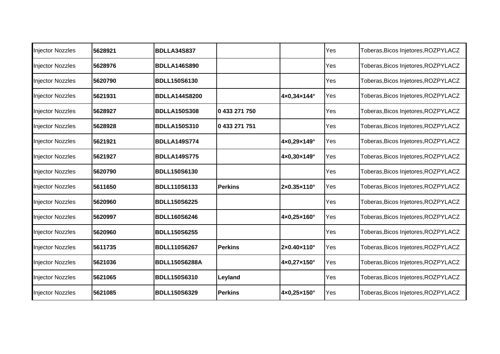| <b>Injector Nozzles</b> | 5628921 | <b>BDLLA34S837</b>   |                |             | Yes | Toberas, Bicos Injetores, ROZPYLACZ |
|-------------------------|---------|----------------------|----------------|-------------|-----|-------------------------------------|
| <b>Injector Nozzles</b> | 5628976 | <b>BDLLA146S890</b>  |                |             | Yes | Toberas, Bicos Injetores, ROZPYLACZ |
| <b>Injector Nozzles</b> | 5620790 | <b>BDLL150S6130</b>  |                |             | Yes | Toberas, Bicos Injetores, ROZPYLACZ |
| <b>Injector Nozzles</b> | 5621931 | <b>BDLLA144S8200</b> |                | 4×0,34×144° | Yes | Toberas, Bicos Injetores, ROZPYLACZ |
| <b>Injector Nozzles</b> | 5628927 | <b>BDLLA150S308</b>  | 0 433 271 750  |             | Yes | Toberas, Bicos Injetores, ROZPYLACZ |
| Injector Nozzles        | 5628928 | <b>BDLLA150S310</b>  | 0 433 271 751  |             | Yes | Toberas, Bicos Injetores, ROZPYLACZ |
| <b>Injector Nozzles</b> | 5621921 | <b>BDLLA149S774</b>  |                | 4×0,29×149° | Yes | Toberas, Bicos Injetores, ROZPYLACZ |
| <b>Injector Nozzles</b> | 5621927 | <b>BDLLA149S775</b>  |                | 4×0,30×149° | Yes | Toberas, Bicos Injetores, ROZPYLACZ |
| <b>Injector Nozzles</b> | 5620790 | <b>BDLL150S6130</b>  |                |             | Yes | Toberas, Bicos Injetores, ROZPYLACZ |
| <b>Injector Nozzles</b> | 5611650 | <b>BDLL110S6133</b>  | <b>Perkins</b> | 2×0.35×110° | Yes | Toberas, Bicos Injetores, ROZPYLACZ |
| <b>Injector Nozzles</b> | 5620960 | <b>BDLL150S6225</b>  |                |             | Yes | Toberas, Bicos Injetores, ROZPYLACZ |
| <b>Injector Nozzles</b> | 5620997 | <b>BDLL160S6246</b>  |                | 4×0,25×160° | Yes | Toberas, Bicos Injetores, ROZPYLACZ |
| <b>Injector Nozzles</b> | 5620960 | <b>BDLL150S6255</b>  |                |             | Yes | Toberas, Bicos Injetores, ROZPYLACZ |
| <b>Injector Nozzles</b> | 5611735 | <b>BDLL110S6267</b>  | <b>Perkins</b> | 2×0.40×110° | Yes | Toberas, Bicos Injetores, ROZPYLACZ |
| <b>Injector Nozzles</b> | 5621036 | <b>BDLL150S6288A</b> |                | 4×0,27×150° | Yes | Toberas, Bicos Injetores, ROZPYLACZ |
| Injector Nozzles        | 5621065 | <b>BDLL150S6310</b>  | Leyland        |             | Yes | Toberas, Bicos Injetores, ROZPYLACZ |
| <b>Injector Nozzles</b> | 5621085 | <b>BDLL150S6329</b>  | <b>Perkins</b> | 4×0,25×150° | Yes | Toberas, Bicos Injetores, ROZPYLACZ |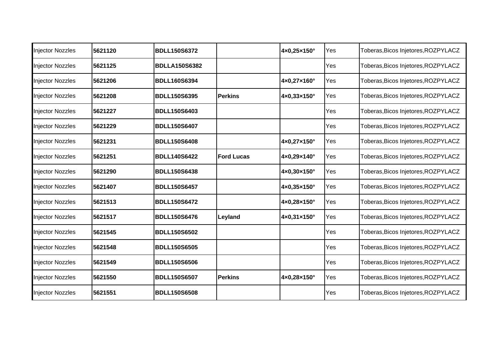| <b>Injector Nozzles</b> | 5621120 | <b>BDLL150S6372</b>  |                   | 4×0,25×150°                  | Yes | Toberas, Bicos Injetores, ROZPYLACZ |
|-------------------------|---------|----------------------|-------------------|------------------------------|-----|-------------------------------------|
| Injector Nozzles        | 5621125 | <b>BDLLA150S6382</b> |                   |                              | Yes | Toberas, Bicos Injetores, ROZPYLACZ |
| <b>Injector Nozzles</b> | 5621206 | <b>BDLL160S6394</b>  |                   | 4×0,27×160°                  | Yes | Toberas, Bicos Injetores, ROZPYLACZ |
| <b>Injector Nozzles</b> | 5621208 | <b>BDLL150S6395</b>  | <b>Perkins</b>    | $4 \times 0,33 \times 150$ ° | Yes | Toberas, Bicos Injetores, ROZPYLACZ |
| <b>Injector Nozzles</b> | 5621227 | <b>BDLL150S6403</b>  |                   |                              | Yes | Toberas, Bicos Injetores, ROZPYLACZ |
| Injector Nozzles        | 5621229 | <b>BDLL150S6407</b>  |                   |                              | Yes | Toberas, Bicos Injetores, ROZPYLACZ |
| <b>Injector Nozzles</b> | 5621231 | <b>BDLL150S6408</b>  |                   | 4×0,27×150°                  | Yes | Toberas, Bicos Injetores, ROZPYLACZ |
| <b>Injector Nozzles</b> | 5621251 | <b>BDLL140S6422</b>  | <b>Ford Lucas</b> | 4×0,29×140°                  | Yes | Toberas, Bicos Injetores, ROZPYLACZ |
| <b>Injector Nozzles</b> | 5621290 | <b>BDLL150S6438</b>  |                   | 4×0,30×150°                  | Yes | Toberas, Bicos Injetores, ROZPYLACZ |
| <b>Injector Nozzles</b> | 5621407 | <b>BDLL150S6457</b>  |                   | 4×0,35×150°                  | Yes | Toberas, Bicos Injetores, ROZPYLACZ |
| <b>Injector Nozzles</b> | 5621513 | <b>BDLL150S6472</b>  |                   | 4×0,28×150°                  | Yes | Toberas, Bicos Injetores, ROZPYLACZ |
| <b>Injector Nozzles</b> | 5621517 | <b>BDLL150S6476</b>  | Leyland           | 4×0,31×150°                  | Yes | Toberas, Bicos Injetores, ROZPYLACZ |
| <b>Injector Nozzles</b> | 5621545 | <b>BDLL150S6502</b>  |                   |                              | Yes | Toberas, Bicos Injetores, ROZPYLACZ |
| <b>Injector Nozzles</b> | 5621548 | <b>BDLL150S6505</b>  |                   |                              | Yes | Toberas, Bicos Injetores, ROZPYLACZ |
| <b>Injector Nozzles</b> | 5621549 | <b>BDLL150S6506</b>  |                   |                              | Yes | Toberas, Bicos Injetores, ROZPYLACZ |
| Injector Nozzles        | 5621550 | <b>BDLL150S6507</b>  | <b>Perkins</b>    | 4×0,28×150°                  | Yes | Toberas, Bicos Injetores, ROZPYLACZ |
| <b>Injector Nozzles</b> | 5621551 | <b>BDLL150S6508</b>  |                   |                              | Yes | Toberas, Bicos Injetores, ROZPYLACZ |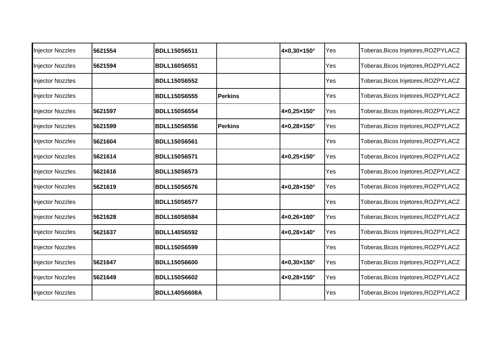| <b>Injector Nozzles</b> | 5621554 | <b>BDLL150S6511</b>  |                | 4×0,30×150° | Yes | Toberas, Bicos Injetores, ROZPYLACZ |
|-------------------------|---------|----------------------|----------------|-------------|-----|-------------------------------------|
| <b>Injector Nozzles</b> | 5621594 | <b>BDLL160S6551</b>  |                |             | Yes | Toberas, Bicos Injetores, ROZPYLACZ |
| <b>Injector Nozzles</b> |         | <b>BDLL150S6552</b>  |                |             | Yes | Toberas, Bicos Injetores, ROZPYLACZ |
| <b>Injector Nozzles</b> |         | <b>BDLL150S6555</b>  | <b>Perkins</b> |             | Yes | Toberas, Bicos Injetores, ROZPYLACZ |
| <b>Injector Nozzles</b> | 5621597 | <b>BDLL150S6554</b>  |                | 4×0,25×150° | Yes | Toberas, Bicos Injetores, ROZPYLACZ |
| <b>Injector Nozzles</b> | 5621599 | <b>BDLL150S6556</b>  | <b>Perkins</b> | 4×0,28×150° | Yes | Toberas, Bicos Injetores, ROZPYLACZ |
| <b>Injector Nozzles</b> | 5621604 | <b>BDLL150S6561</b>  |                |             | Yes | Toberas, Bicos Injetores, ROZPYLACZ |
| <b>Injector Nozzles</b> | 5621614 | <b>BDLL150S6571</b>  |                | 4×0,25×150° | Yes | Toberas, Bicos Injetores, ROZPYLACZ |
| <b>Injector Nozzles</b> | 5621616 | <b>BDLL150S6573</b>  |                |             | Yes | Toberas, Bicos Injetores, ROZPYLACZ |
| <b>Injector Nozzles</b> | 5621619 | <b>BDLL150S6576</b>  |                | 4×0,28×150° | Yes | Toberas, Bicos Injetores, ROZPYLACZ |
| <b>Injector Nozzles</b> |         | <b>BDLL150S6577</b>  |                |             | Yes | Toberas, Bicos Injetores, ROZPYLACZ |
| <b>Injector Nozzles</b> | 5621628 | <b>BDLL160S6584</b>  |                | 4×0,26×160° | Yes | Toberas, Bicos Injetores, ROZPYLACZ |
| <b>Injector Nozzles</b> | 5621637 | <b>BDLL140S6592</b>  |                | 4×0,28×140° | Yes | Toberas, Bicos Injetores, ROZPYLACZ |
| <b>Injector Nozzles</b> |         | <b>BDLL150S6599</b>  |                |             | Yes | Toberas, Bicos Injetores, ROZPYLACZ |
| <b>Injector Nozzles</b> | 5621647 | <b>BDLL150S6600</b>  |                | 4×0,30×150° | Yes | Toberas, Bicos Injetores, ROZPYLACZ |
| Injector Nozzles        | 5621649 | <b>BDLL150S6602</b>  |                | 4×0,28×150° | Yes | Toberas, Bicos Injetores, ROZPYLACZ |
| <b>Injector Nozzles</b> |         | <b>BDLL140S6608A</b> |                |             | Yes | Toberas, Bicos Injetores, ROZPYLACZ |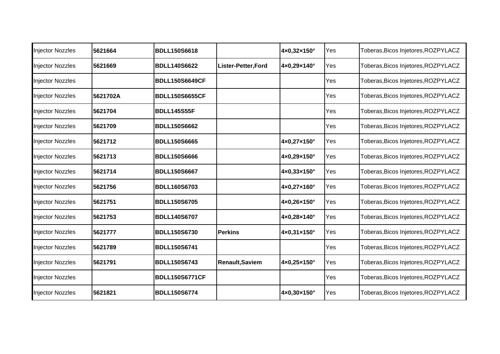| <b>Injector Nozzles</b> | 5621664  | <b>BDLL150S6618</b>   |                        | 4×0,32×150° | Yes | Toberas, Bicos Injetores, ROZPYLACZ |
|-------------------------|----------|-----------------------|------------------------|-------------|-----|-------------------------------------|
| Injector Nozzles        | 5621669  | <b>BDLL140S6622</b>   | Lister-Petter, Ford    | 4×0,29×140° | Yes | Toberas, Bicos Injetores, ROZPYLACZ |
| <b>Injector Nozzles</b> |          | <b>BDLL150S6649CF</b> |                        |             | Yes | Toberas, Bicos Injetores, ROZPYLACZ |
| <b>Injector Nozzles</b> | 5621702A | <b>BDLL150S6655CF</b> |                        |             | Yes | Toberas, Bicos Injetores, ROZPYLACZ |
| <b>Injector Nozzles</b> | 5621704  | <b>BDLL145S55F</b>    |                        |             | Yes | Toberas, Bicos Injetores, ROZPYLACZ |
| <b>Injector Nozzles</b> | 5621709  | <b>BDLL150S6662</b>   |                        |             | Yes | Toberas, Bicos Injetores, ROZPYLACZ |
| Injector Nozzles        | 5621712  | <b>BDLL150S6665</b>   |                        | 4×0,27×150° | Yes | Toberas, Bicos Injetores, ROZPYLACZ |
| <b>Injector Nozzles</b> | 5621713  | <b>BDLL150S6666</b>   |                        | 4×0,29×150° | Yes | Toberas, Bicos Injetores, ROZPYLACZ |
| <b>Injector Nozzles</b> | 5621714  | <b>BDLL150S6667</b>   |                        | 4×0,33×150° | Yes | Toberas, Bicos Injetores, ROZPYLACZ |
| <b>Injector Nozzles</b> | 5621756  | <b>BDLL160S6703</b>   |                        | 4×0,27×160° | Yes | Toberas, Bicos Injetores, ROZPYLACZ |
| <b>Injector Nozzles</b> | 5621751  | <b>BDLL150S6705</b>   |                        | 4×0,26×150° | Yes | Toberas, Bicos Injetores, ROZPYLACZ |
| <b>Injector Nozzles</b> | 5621753  | <b>BDLL140S6707</b>   |                        | 4×0,28×140° | Yes | Toberas, Bicos Injetores, ROZPYLACZ |
| <b>Injector Nozzles</b> | 5621777  | <b>BDLL150S6730</b>   | <b>Perkins</b>         | 4×0,31×150° | Yes | Toberas, Bicos Injetores, ROZPYLACZ |
| <b>Injector Nozzles</b> | 5621789  | <b>BDLL150S6741</b>   |                        |             | Yes | Toberas, Bicos Injetores, ROZPYLACZ |
| <b>Injector Nozzles</b> | 5621791  | <b>BDLL150S6743</b>   | <b>Renault, Saviem</b> | 4×0,25×150° | Yes | Toberas, Bicos Injetores, ROZPYLACZ |
| Injector Nozzles        |          | <b>BDLL150S6771CF</b> |                        |             | Yes | Toberas, Bicos Injetores, ROZPYLACZ |
| <b>Injector Nozzles</b> | 5621821  | <b>BDLL150S6774</b>   |                        | 4×0,30×150° | Yes | Toberas, Bicos Injetores, ROZPYLACZ |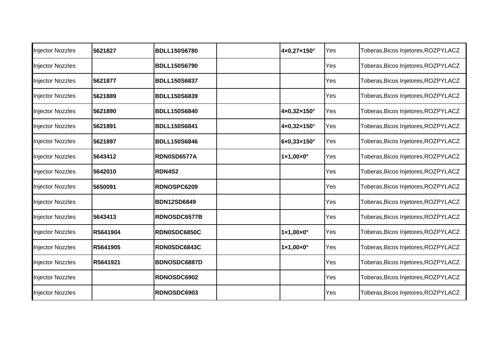| <b>Injector Nozzles</b> | 5621827  | <b>BDLL150S6780</b> | 4×0,27×150°                      | Yes | Toberas, Bicos Injetores, ROZPYLACZ |
|-------------------------|----------|---------------------|----------------------------------|-----|-------------------------------------|
| <b>Injector Nozzles</b> |          | <b>BDLL150S6790</b> |                                  | Yes | Toberas, Bicos Injetores, ROZPYLACZ |
| <b>Injector Nozzles</b> | 5621877  | <b>BDLL150S6837</b> |                                  | Yes | Toberas, Bicos Injetores, ROZPYLACZ |
| <b>Injector Nozzles</b> | 5621889  | <b>BDLL150S6839</b> |                                  | Yes | Toberas, Bicos Injetores, ROZPYLACZ |
| <b>Injector Nozzles</b> | 5621890  | <b>BDLL150S6840</b> | 4×0,32×150°                      | Yes | Toberas, Bicos Injetores, ROZPYLACZ |
| Injector Nozzles        | 5621891  | <b>BDLL150S6841</b> | 4×0,32×150°                      | Yes | Toberas, Bicos Injetores, ROZPYLACZ |
| <b>Injector Nozzles</b> | 5621897  | <b>BDLL150S6846</b> | 6×0,33×150°                      | Yes | Toberas, Bicos Injetores, ROZPYLACZ |
| <b>Injector Nozzles</b> | 5643412  | RDN0SD6577A         | $1 \times 1,00 \times 0$ °       | Yes | Toberas, Bicos Injetores, ROZPYLACZ |
| <b>Injector Nozzles</b> | 5642010  | <b>RDN4S2</b>       |                                  | Yes | Toberas, Bicos Injetores, ROZPYLACZ |
| <b>Injector Nozzles</b> | 5650091  | RDNOSPC6209         |                                  | Yes | Toberas, Bicos Injetores, ROZPYLACZ |
| <b>Injector Nozzles</b> |          | <b>BDN12SD6849</b>  |                                  | Yes | Toberas, Bicos Injetores, ROZPYLACZ |
| <b>Injector Nozzles</b> | 5643413  | RDNOSDC6577B        |                                  | Yes | Toberas, Bicos Injetores, ROZPYLACZ |
| <b>Injector Nozzles</b> | R5641904 | RDN0SDC6850C        | $1 \times 1,00 \times 0^{\circ}$ | Yes | Toberas, Bicos Injetores, ROZPYLACZ |
| <b>Injector Nozzles</b> | R5641905 | RDN0SDC6843C        | $1 \times 1,00 \times 0^{\circ}$ | Yes | Toberas, Bicos Injetores, ROZPYLACZ |
| <b>Injector Nozzles</b> | R5641921 | BDNOSDC6887D        |                                  | Yes | Toberas, Bicos Injetores, ROZPYLACZ |
| <b>Injector Nozzles</b> |          | RDNOSDC6902         |                                  | Yes | Toberas, Bicos Injetores, ROZPYLACZ |
| <b>Injector Nozzles</b> |          | RDNOSDC6903         |                                  | Yes | Toberas, Bicos Injetores, ROZPYLACZ |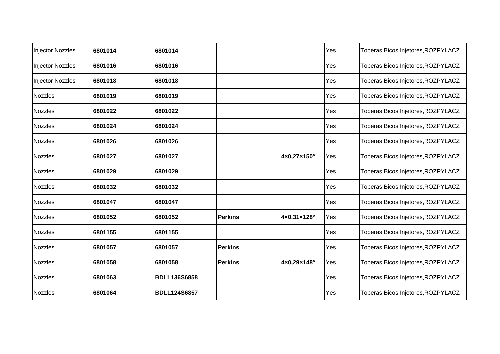| <b>Injector Nozzles</b> | 6801014 | 6801014             |                |             | Yes | Toberas, Bicos Injetores, ROZPYLACZ |
|-------------------------|---------|---------------------|----------------|-------------|-----|-------------------------------------|
| <b>Injector Nozzles</b> | 6801016 | 6801016             |                |             | Yes | Toberas, Bicos Injetores, ROZPYLACZ |
| <b>Injector Nozzles</b> | 6801018 | 6801018             |                |             | Yes | Toberas, Bicos Injetores, ROZPYLACZ |
| <b>Nozzles</b>          | 6801019 | 6801019             |                |             | Yes | Toberas, Bicos Injetores, ROZPYLACZ |
| <b>Nozzles</b>          | 6801022 | 6801022             |                |             | Yes | Toberas, Bicos Injetores, ROZPYLACZ |
| <b>Nozzles</b>          | 6801024 | 6801024             |                |             | Yes | Toberas, Bicos Injetores, ROZPYLACZ |
| <b>Nozzles</b>          | 6801026 | 6801026             |                |             | Yes | Toberas, Bicos Injetores, ROZPYLACZ |
| <b>Nozzles</b>          | 6801027 | 6801027             |                | 4×0,27×150° | Yes | Toberas, Bicos Injetores, ROZPYLACZ |
| <b>Nozzles</b>          | 6801029 | 6801029             |                |             | Yes | Toberas, Bicos Injetores, ROZPYLACZ |
| <b>Nozzles</b>          | 6801032 | 6801032             |                |             | Yes | Toberas, Bicos Injetores, ROZPYLACZ |
| <b>Nozzles</b>          | 6801047 | 6801047             |                |             | Yes | Toberas, Bicos Injetores, ROZPYLACZ |
| <b>Nozzles</b>          | 6801052 | 6801052             | <b>Perkins</b> | 4×0,31×128° | Yes | Toberas, Bicos Injetores, ROZPYLACZ |
| <b>Nozzles</b>          | 6801155 | 6801155             |                |             | Yes | Toberas, Bicos Injetores, ROZPYLACZ |
| <b>Nozzles</b>          | 6801057 | 6801057             | <b>Perkins</b> |             | Yes | Toberas, Bicos Injetores, ROZPYLACZ |
| <b>Nozzles</b>          | 6801058 | 6801058             | <b>Perkins</b> | 4×0,29×148° | Yes | Toberas, Bicos Injetores, ROZPYLACZ |
| <b>Nozzles</b>          | 6801063 | <b>BDLL136S6858</b> |                |             | Yes | Toberas, Bicos Injetores, ROZPYLACZ |
| <b>Nozzles</b>          | 6801064 | <b>BDLL124S6857</b> |                |             | Yes | Toberas, Bicos Injetores, ROZPYLACZ |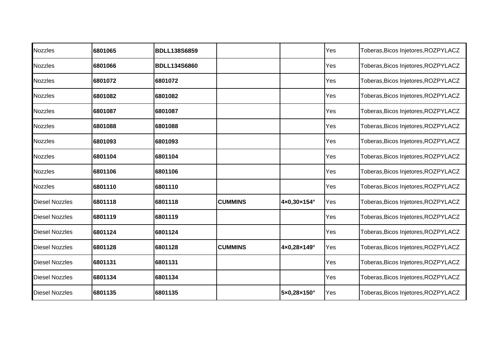| <b>Nozzles</b>        | 6801065 | <b>BDLL138S6859</b> |                |             | Yes | Toberas, Bicos Injetores, ROZPYLACZ |
|-----------------------|---------|---------------------|----------------|-------------|-----|-------------------------------------|
| <b>Nozzles</b>        | 6801066 | <b>BDLL134S6860</b> |                |             | Yes | Toberas, Bicos Injetores, ROZPYLACZ |
| <b>Nozzles</b>        | 6801072 | 6801072             |                |             | Yes | Toberas, Bicos Injetores, ROZPYLACZ |
| <b>Nozzles</b>        | 6801082 | 6801082             |                |             | Yes | Toberas, Bicos Injetores, ROZPYLACZ |
| <b>Nozzles</b>        | 6801087 | 6801087             |                |             | Yes | Toberas, Bicos Injetores, ROZPYLACZ |
| <b>Nozzles</b>        | 6801088 | 6801088             |                |             | Yes | Toberas, Bicos Injetores, ROZPYLACZ |
| <b>Nozzles</b>        | 6801093 | 6801093             |                |             | Yes | Toberas, Bicos Injetores, ROZPYLACZ |
| <b>Nozzles</b>        | 6801104 | 6801104             |                |             | Yes | Toberas, Bicos Injetores, ROZPYLACZ |
| <b>Nozzles</b>        | 6801106 | 6801106             |                |             | Yes | Toberas, Bicos Injetores, ROZPYLACZ |
| <b>Nozzles</b>        | 6801110 | 6801110             |                |             | Yes | Toberas, Bicos Injetores, ROZPYLACZ |
| <b>Diesel Nozzles</b> | 6801118 | 6801118             | <b>CUMMINS</b> | 4×0,30×154° | Yes | Toberas, Bicos Injetores, ROZPYLACZ |
| <b>Diesel Nozzles</b> | 6801119 | 6801119             |                |             | Yes | Toberas, Bicos Injetores, ROZPYLACZ |
| <b>Diesel Nozzles</b> | 6801124 | 6801124             |                |             | Yes | Toberas, Bicos Injetores, ROZPYLACZ |
| <b>Diesel Nozzles</b> | 6801128 | 6801128             | <b>CUMMINS</b> | 4×0,28×149° | Yes | Toberas, Bicos Injetores, ROZPYLACZ |
| <b>Diesel Nozzles</b> | 6801131 | 6801131             |                |             | Yes | Toberas, Bicos Injetores, ROZPYLACZ |
| <b>Diesel Nozzles</b> | 6801134 | 6801134             |                |             | Yes | Toberas, Bicos Injetores, ROZPYLACZ |
| <b>Diesel Nozzles</b> | 6801135 | 6801135             |                | 5×0,28×150° | Yes | Toberas, Bicos Injetores, ROZPYLACZ |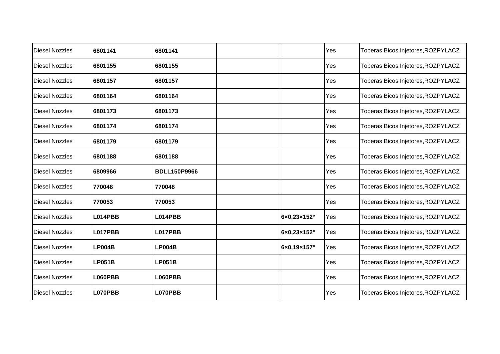| <b>Diesel Nozzles</b> | 6801141       | 6801141             |             | Yes | Toberas, Bicos Injetores, ROZPYLACZ |
|-----------------------|---------------|---------------------|-------------|-----|-------------------------------------|
| <b>Diesel Nozzles</b> | 6801155       | 6801155             |             | Yes | Toberas, Bicos Injetores, ROZPYLACZ |
| <b>Diesel Nozzles</b> | 6801157       | 6801157             |             | Yes | Toberas, Bicos Injetores, ROZPYLACZ |
| <b>Diesel Nozzles</b> | 6801164       | 6801164             |             | Yes | Toberas, Bicos Injetores, ROZPYLACZ |
| <b>Diesel Nozzles</b> | 6801173       | 6801173             |             | Yes | Toberas, Bicos Injetores, ROZPYLACZ |
| <b>Diesel Nozzles</b> | 6801174       | 6801174             |             | Yes | Toberas, Bicos Injetores, ROZPYLACZ |
| <b>Diesel Nozzles</b> | 6801179       | 6801179             |             | Yes | Toberas, Bicos Injetores, ROZPYLACZ |
| <b>Diesel Nozzles</b> | 6801188       | 6801188             |             | Yes | Toberas, Bicos Injetores, ROZPYLACZ |
| <b>Diesel Nozzles</b> | 6809966       | <b>BDLL150P9966</b> |             | Yes | Toberas, Bicos Injetores, ROZPYLACZ |
| <b>Diesel Nozzles</b> | 770048        | 770048              |             | Yes | Toberas, Bicos Injetores, ROZPYLACZ |
| <b>Diesel Nozzles</b> | 770053        | 770053              |             | Yes | Toberas, Bicos Injetores, ROZPYLACZ |
| <b>Diesel Nozzles</b> | L014PBB       | L014PBB             | 6×0,23×152° | Yes | Toberas, Bicos Injetores, ROZPYLACZ |
| <b>Diesel Nozzles</b> | L017PBB       | L017PBB             | 6×0,23×152° | Yes | Toberas, Bicos Injetores, ROZPYLACZ |
| <b>Diesel Nozzles</b> | <b>LP004B</b> | <b>LP004B</b>       | 6×0,19×157° | Yes | Toberas, Bicos Injetores, ROZPYLACZ |
| <b>Diesel Nozzles</b> | <b>LP051B</b> | <b>LP051B</b>       |             | Yes | Toberas, Bicos Injetores, ROZPYLACZ |
| <b>Diesel Nozzles</b> | L060PBB       | L060PBB             |             | Yes | Toberas, Bicos Injetores, ROZPYLACZ |
| <b>Diesel Nozzles</b> | L070PBB       | L070PBB             |             | Yes | Toberas, Bicos Injetores, ROZPYLACZ |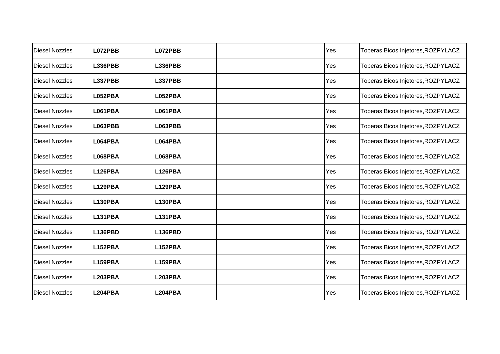| <b>Diesel Nozzles</b> | L072PBB        | L072PBB        |  | Yes | Toberas, Bicos Injetores, ROZPYLACZ |
|-----------------------|----------------|----------------|--|-----|-------------------------------------|
| <b>Diesel Nozzles</b> | L336PBB        | <b>L336PBB</b> |  | Yes | Toberas, Bicos Injetores, ROZPYLACZ |
| <b>Diesel Nozzles</b> | L337PBB        | <b>L337PBB</b> |  | Yes | Toberas, Bicos Injetores, ROZPYLACZ |
| <b>Diesel Nozzles</b> | L052PBA        | L052PBA        |  | Yes | Toberas, Bicos Injetores, ROZPYLACZ |
| <b>Diesel Nozzles</b> | L061PBA        | <b>L061PBA</b> |  | Yes | Toberas, Bicos Injetores, ROZPYLACZ |
| <b>Diesel Nozzles</b> | <b>L063PBB</b> | <b>L063PBB</b> |  | Yes | Toberas, Bicos Injetores, ROZPYLACZ |
| <b>Diesel Nozzles</b> | L064PBA        | L064PBA        |  | Yes | Toberas, Bicos Injetores, ROZPYLACZ |
| <b>Diesel Nozzles</b> | L068PBA        | L068PBA        |  | Yes | Toberas, Bicos Injetores, ROZPYLACZ |
| <b>Diesel Nozzles</b> | L126PBA        | <b>L126PBA</b> |  | Yes | Toberas, Bicos Injetores, ROZPYLACZ |
| <b>Diesel Nozzles</b> | L129PBA        | L129PBA        |  | Yes | Toberas, Bicos Injetores, ROZPYLACZ |
| <b>Diesel Nozzles</b> | L130PBA        | <b>L130PBA</b> |  | Yes | Toberas, Bicos Injetores, ROZPYLACZ |
| <b>Diesel Nozzles</b> | L131PBA        | L131PBA        |  | Yes | Toberas, Bicos Injetores, ROZPYLACZ |
| <b>Diesel Nozzles</b> | L136PBD        | <b>L136PBD</b> |  | Yes | Toberas, Bicos Injetores, ROZPYLACZ |
| <b>Diesel Nozzles</b> | L152PBA        | <b>L152PBA</b> |  | Yes | Toberas, Bicos Injetores, ROZPYLACZ |
| <b>Diesel Nozzles</b> | L159PBA        | <b>L159PBA</b> |  | Yes | Toberas, Bicos Injetores, ROZPYLACZ |
| <b>Diesel Nozzles</b> | <b>L203PBA</b> | <b>L203PBA</b> |  | Yes | Toberas, Bicos Injetores, ROZPYLACZ |
| <b>Diesel Nozzles</b> | L204PBA        | <b>L204PBA</b> |  | Yes | Toberas, Bicos Injetores, ROZPYLACZ |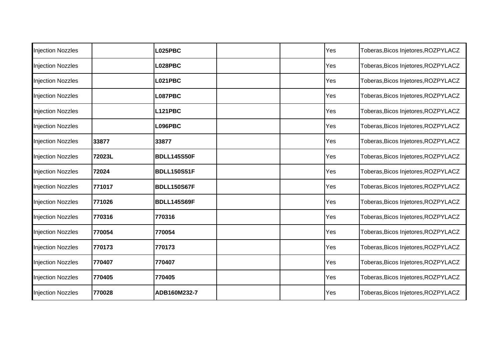| <b>Injection Nozzles</b> |        | <b>L025PBC</b>     |  | Yes | Toberas, Bicos Injetores, ROZPYLACZ |
|--------------------------|--------|--------------------|--|-----|-------------------------------------|
| <b>Injection Nozzles</b> |        | L028PBC            |  | Yes | Toberas, Bicos Injetores, ROZPYLACZ |
| <b>Injection Nozzles</b> |        | <b>L021PBC</b>     |  | Yes | Toberas, Bicos Injetores, ROZPYLACZ |
| <b>Injection Nozzles</b> |        | L087PBC            |  | Yes | Toberas, Bicos Injetores, ROZPYLACZ |
| <b>Injection Nozzles</b> |        | <b>L121PBC</b>     |  | Yes | Toberas, Bicos Injetores, ROZPYLACZ |
| <b>Injection Nozzles</b> |        | L096PBC            |  | Yes | Toberas, Bicos Injetores, ROZPYLACZ |
| <b>Injection Nozzles</b> | 33877  | 33877              |  | Yes | Toberas, Bicos Injetores, ROZPYLACZ |
| <b>Injection Nozzles</b> | 72023L | <b>BDLL145S50F</b> |  | Yes | Toberas, Bicos Injetores, ROZPYLACZ |
| <b>Injection Nozzles</b> | 72024  | <b>BDLL150S51F</b> |  | Yes | Toberas, Bicos Injetores, ROZPYLACZ |
| <b>Injection Nozzles</b> | 771017 | <b>BDLL150S67F</b> |  | Yes | Toberas, Bicos Injetores, ROZPYLACZ |
| <b>Injection Nozzles</b> | 771026 | <b>BDLL145S69F</b> |  | Yes | Toberas, Bicos Injetores, ROZPYLACZ |
| <b>Injection Nozzles</b> | 770316 | 770316             |  | Yes | Toberas, Bicos Injetores, ROZPYLACZ |
| <b>Injection Nozzles</b> | 770054 | 770054             |  | Yes | Toberas, Bicos Injetores, ROZPYLACZ |
| <b>Injection Nozzles</b> | 770173 | 770173             |  | Yes | Toberas, Bicos Injetores, ROZPYLACZ |
| <b>Injection Nozzles</b> | 770407 | 770407             |  | Yes | Toberas, Bicos Injetores, ROZPYLACZ |
| <b>Injection Nozzles</b> | 770405 | 770405             |  | Yes | Toberas, Bicos Injetores, ROZPYLACZ |
| <b>Injection Nozzles</b> | 770028 | ADB160M232-7       |  | Yes | Toberas, Bicos Injetores, ROZPYLACZ |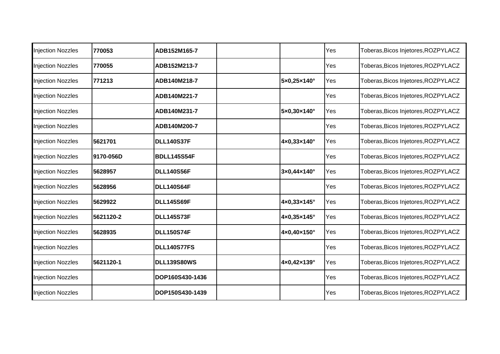| <b>Injection Nozzles</b> | 770053    | ADB152M165-7       |                                  | Yes | Toberas, Bicos Injetores, ROZPYLACZ |
|--------------------------|-----------|--------------------|----------------------------------|-----|-------------------------------------|
| <b>Injection Nozzles</b> | 770055    | ADB152M213-7       |                                  | Yes | Toberas, Bicos Injetores, ROZPYLACZ |
| <b>Injection Nozzles</b> | 771213    | ADB140M218-7       | 5×0,25×140°                      | Yes | Toberas, Bicos Injetores, ROZPYLACZ |
| <b>Injection Nozzles</b> |           | ADB140M221-7       |                                  | Yes | Toberas, Bicos Injetores, ROZPYLACZ |
| <b>Injection Nozzles</b> |           | ADB140M231-7       | 5×0,30×140°                      | Yes | Toberas, Bicos Injetores, ROZPYLACZ |
| <b>Injection Nozzles</b> |           | ADB140M200-7       |                                  | Yes | Toberas, Bicos Injetores, ROZPYLACZ |
| <b>Injection Nozzles</b> | 5621701   | <b>DLL140S37F</b>  | 4×0,33×140°                      | Yes | Toberas, Bicos Injetores, ROZPYLACZ |
| <b>Injection Nozzles</b> | 9170-056D | <b>BDLL145S54F</b> |                                  | Yes | Toberas, Bicos Injetores, ROZPYLACZ |
| <b>Injection Nozzles</b> | 5628957   | <b>DLL140S56F</b>  | $3 \times 0,44 \times 140^\circ$ | Yes | Toberas, Bicos Injetores, ROZPYLACZ |
| <b>Injection Nozzles</b> | 5628956   | <b>DLL140S64F</b>  |                                  | Yes | Toberas, Bicos Injetores, ROZPYLACZ |
| <b>Injection Nozzles</b> | 5629922   | <b>DLL145S69F</b>  | 4×0,33×145°                      | Yes | Toberas, Bicos Injetores, ROZPYLACZ |
| <b>Injection Nozzles</b> | 5621120-2 | <b>DLL145S73F</b>  | 4×0,35×145°                      | Yes | Toberas, Bicos Injetores, ROZPYLACZ |
| <b>Injection Nozzles</b> | 5628935   | <b>DLL150S74F</b>  | 4×0,40×150°                      | Yes | Toberas, Bicos Injetores, ROZPYLACZ |
| <b>Injection Nozzles</b> |           | <b>DLL140S77FS</b> |                                  | Yes | Toberas, Bicos Injetores, ROZPYLACZ |
| <b>Injection Nozzles</b> | 5621120-1 | <b>DLL139S80WS</b> | 4×0,42×139°                      | Yes | Toberas, Bicos Injetores, ROZPYLACZ |
| <b>Injection Nozzles</b> |           | DOP160S430-1436    |                                  | Yes | Toberas, Bicos Injetores, ROZPYLACZ |
| <b>Injection Nozzles</b> |           | DOP150S430-1439    |                                  | Yes | Toberas, Bicos Injetores, ROZPYLACZ |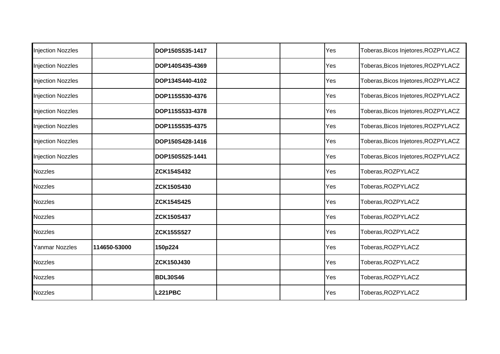| <b>Injection Nozzles</b> |              | DOP150S535-1417   |  | Yes | Toberas, Bicos Injetores, ROZPYLACZ |
|--------------------------|--------------|-------------------|--|-----|-------------------------------------|
| <b>Injection Nozzles</b> |              | DOP140S435-4369   |  | Yes | Toberas, Bicos Injetores, ROZPYLACZ |
| <b>Injection Nozzles</b> |              | DOP134S440-4102   |  | Yes | Toberas, Bicos Injetores, ROZPYLACZ |
| <b>Injection Nozzles</b> |              | DOP115S530-4376   |  | Yes | Toberas, Bicos Injetores, ROZPYLACZ |
| <b>Injection Nozzles</b> |              | DOP115S533-4378   |  | Yes | Toberas, Bicos Injetores, ROZPYLACZ |
| <b>Injection Nozzles</b> |              | DOP115S535-4375   |  | Yes | Toberas, Bicos Injetores, ROZPYLACZ |
| <b>Injection Nozzles</b> |              | DOP150S428-1416   |  | Yes | Toberas, Bicos Injetores, ROZPYLACZ |
| <b>Injection Nozzles</b> |              | DOP150S525-1441   |  | Yes | Toberas, Bicos Injetores, ROZPYLACZ |
| <b>Nozzles</b>           |              | <b>ZCK154S432</b> |  | Yes | Toberas, ROZPYLACZ                  |
| <b>Nozzles</b>           |              | <b>ZCK150S430</b> |  | Yes | Toberas, ROZPYLACZ                  |
| <b>Nozzles</b>           |              | <b>ZCK154S425</b> |  | Yes | Toberas, ROZPYLACZ                  |
| Nozzles                  |              | <b>ZCK150S437</b> |  | Yes | Toberas, ROZPYLACZ                  |
| <b>Nozzles</b>           |              | <b>ZCK155S527</b> |  | Yes | Toberas, ROZPYLACZ                  |
| Yanmar Nozzles           | 114650-53000 | 150p224           |  | Yes | Toberas, ROZPYLACZ                  |
| Nozzles                  |              | ZCK150J430        |  | Yes | Toberas, ROZPYLACZ                  |
| <b>Nozzles</b>           |              | <b>BDL30S46</b>   |  | Yes | Toberas, ROZPYLACZ                  |
| <b>Nozzles</b>           |              | <b>L221PBC</b>    |  | Yes | Toberas, ROZPYLACZ                  |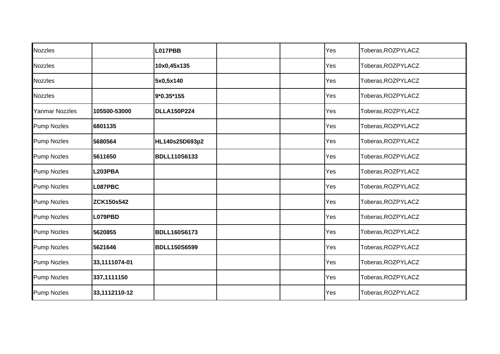| <b>Nozzles</b>     |                   | L017PBB             |  | Yes | Toberas, ROZPYLACZ |
|--------------------|-------------------|---------------------|--|-----|--------------------|
| <b>Nozzles</b>     |                   | 10x0,45x135         |  | Yes | Toberas, ROZPYLACZ |
| <b>Nozzles</b>     |                   | 5x0,5x140           |  | Yes | Toberas, ROZPYLACZ |
| <b>Nozzles</b>     |                   | 9*0.35*155          |  | Yes | Toberas, ROZPYLACZ |
| Yanmar Nozzles     | 105500-53000      | <b>DLLA150P224</b>  |  | Yes | Toberas, ROZPYLACZ |
| <b>Pump Nozles</b> | 6801135           |                     |  | Yes | Toberas, ROZPYLACZ |
| <b>Pump Nozles</b> | 5680564           | HL140s25D693p2      |  | Yes | Toberas, ROZPYLACZ |
| <b>Pump Nozles</b> | 5611650           | <b>BDLL110S6133</b> |  | Yes | Toberas, ROZPYLACZ |
| <b>Pump Nozles</b> | <b>L203PBA</b>    |                     |  | Yes | Toberas, ROZPYLACZ |
| <b>Pump Nozles</b> | L087PBC           |                     |  | Yes | Toberas, ROZPYLACZ |
| <b>Pump Nozles</b> | <b>ZCK150s542</b> |                     |  | Yes | Toberas, ROZPYLACZ |
| <b>Pump Nozles</b> | L079PBD           |                     |  | Yes | Toberas, ROZPYLACZ |
| <b>Pump Nozles</b> | 5620855           | <b>BDLL160S6173</b> |  | Yes | Toberas, ROZPYLACZ |
| <b>Pump Nozles</b> | 5621646           | <b>BDLL150S6599</b> |  | Yes | Toberas, ROZPYLACZ |
| <b>Pump Nozles</b> | 33,1111074-01     |                     |  | Yes | Toberas, ROZPYLACZ |
| <b>Pump Nozles</b> | 337,1111150       |                     |  | Yes | Toberas, ROZPYLACZ |
| <b>Pump Nozles</b> | 33,1112110-12     |                     |  | Yes | Toberas, ROZPYLACZ |